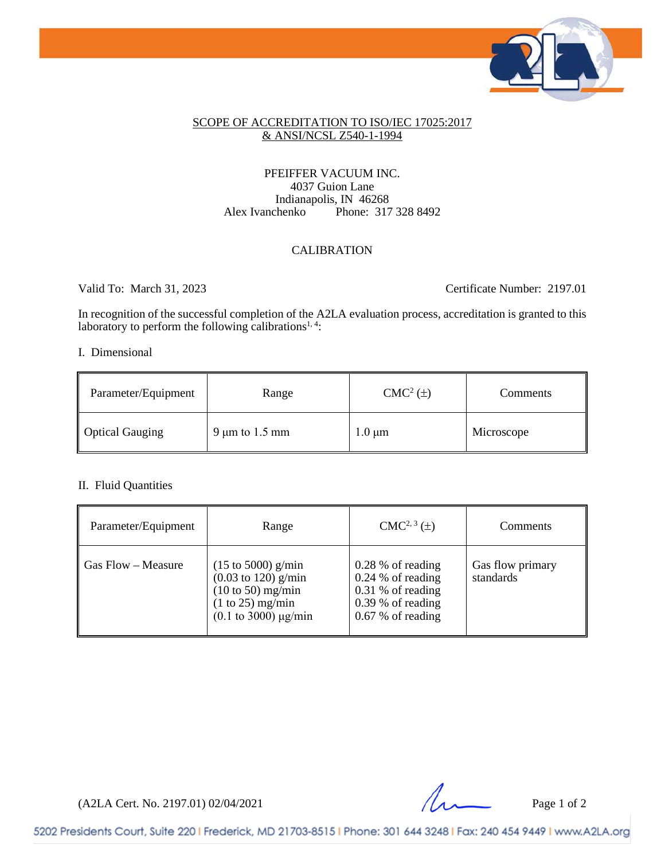

### SCOPE OF ACCREDITATION TO ISO/IEC 17025:2017 & ANSI/NCSL Z540-1-1994

### PFEIFFER VACUUM INC. 4037 Guion Lane Indianapolis, IN 46268<br>Alex Ivanchenko Phone: 317 Phone: 317 328 8492

### CALIBRATION

Valid To: March 31, 2023 Certificate Number: 2197.01

In recognition of the successful completion of the A2LA evaluation process, accreditation is granted to this laboratory to perform the following calibrations<sup>1, 4</sup>:

### I. Dimensional

| Parameter/Equipment    | Range               | $CMC2(\pm)$ | Comments   |
|------------------------|---------------------|-------------|------------|
| <b>Optical Gauging</b> | 9 $\mu$ m to 1.5 mm | $1.0 \mu m$ | Microscope |

### II. Fluid Quantities

| Parameter/Equipment            | Range                                                                                                                                                       | $CMC2, 3(\pm)$                                                                                                 | Comments                      |
|--------------------------------|-------------------------------------------------------------------------------------------------------------------------------------------------------------|----------------------------------------------------------------------------------------------------------------|-------------------------------|
| $\parallel$ Gas Flow – Measure | $(15 \text{ to } 5000)$ g/min<br>$(0.03 \text{ to } 120)$ g/min<br>$(10 \text{ to } 50)$ mg/min<br>$(1 to 25)$ mg/min<br>$(0.1 \text{ to } 3000) \mu g/min$ | $0.28\%$ of reading<br>$0.24\%$ of reading<br>$0.31\%$ of reading<br>$0.39%$ of reading<br>$0.67\%$ of reading | Gas flow primary<br>standards |

 $(A2LA$  Cert. No. 2197.01) 02/04/2021 Page 1 of 2

5202 Presidents Court, Suite 220 | Frederick, MD 21703-8515 | Phone: 301 644 3248 | Fax: 240 454 9449 | www.A2LA.org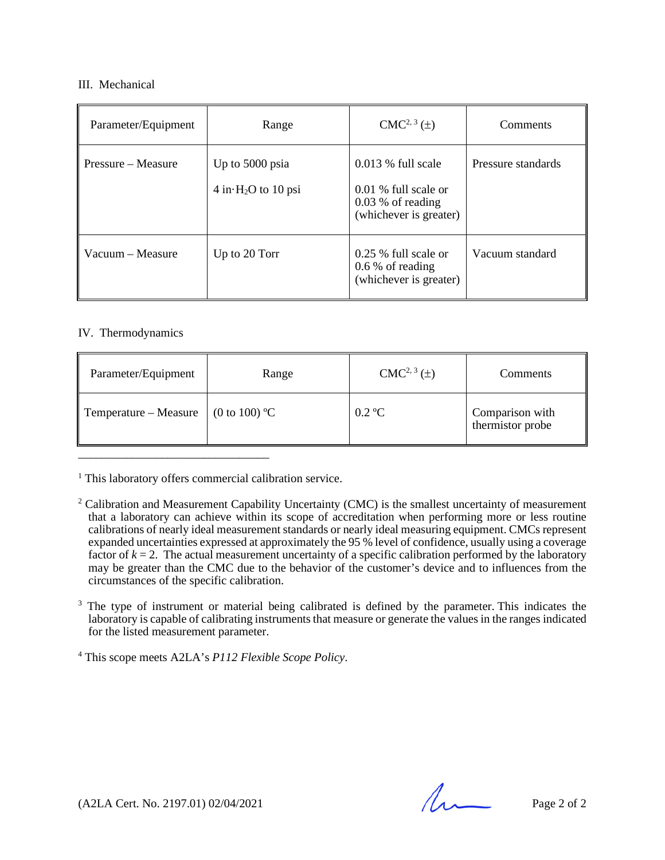### III. Mechanical

| Parameter/Equipment | Range                                      | $CMC2, 3(\pm)$                                                                                  | Comments           |
|---------------------|--------------------------------------------|-------------------------------------------------------------------------------------------------|--------------------|
| Pressure – Measure  | Up to 5000 psia<br>$4$ in $H_2O$ to 10 psi | $0.013\%$ full scale<br>$0.01\%$ full scale or<br>$0.03\%$ of reading<br>(whichever is greater) | Pressure standards |
| Vacuum – Measure    | Up to 20 Torr                              | $0.25\%$ full scale or<br>$0.6\%$ of reading<br>(whichever is greater)                          | Vacuum standard    |

### IV. Thermodynamics

| Parameter/Equipment   | Range                    | $CMC2, 3(\pm)$   | Comments                            |
|-----------------------|--------------------------|------------------|-------------------------------------|
| Temperature – Measure | $(0 \text{ to } 100)$ °C | $0.2 \text{ °C}$ | Comparison with<br>thermistor probe |

<sup>1</sup> This laboratory offers commercial calibration service.

- <sup>2</sup> Calibration and Measurement Capability Uncertainty (CMC) is the smallest uncertainty of measurement that a laboratory can achieve within its scope of accreditation when performing more or less routine calibrations of nearly ideal measurement standards or nearly ideal measuring equipment. CMCs represent expanded uncertainties expressed at approximately the 95 % level of confidence, usually using a coverage factor of  $k = 2$ . The actual measurement uncertainty of a specific calibration performed by the laboratory may be greater than the CMC due to the behavior of the customer's device and to influences from the circumstances of the specific calibration.
- <sup>3</sup> The type of instrument or material being calibrated is defined by the parameter. This indicates the laboratory is capable of calibrating instruments that measure or generate the values in the ranges indicated for the listed measurement parameter.

<sup>4</sup> This scope meets A2LA's *P112 Flexible Scope Policy*.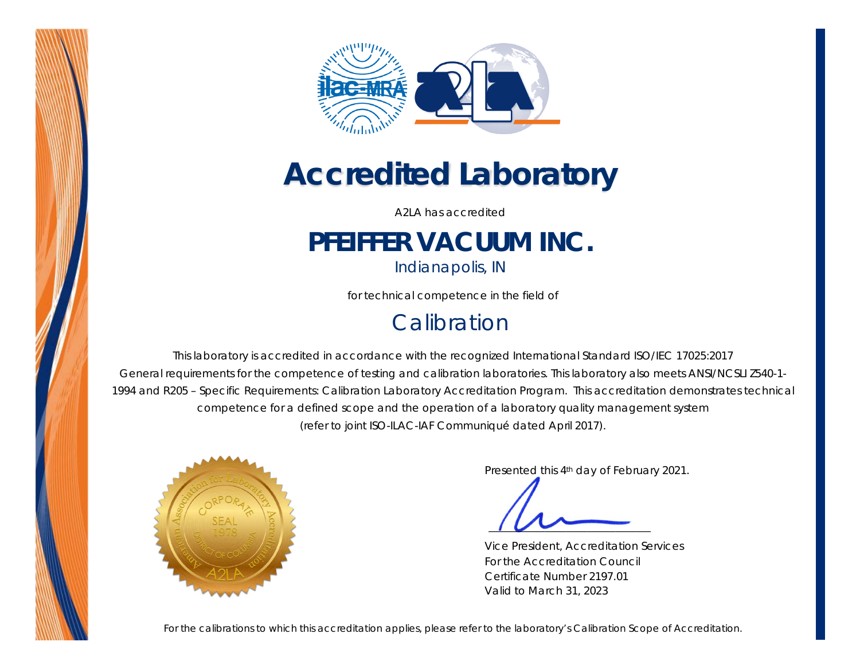



# *Accredited Laboratory*

A2LA has accredited

## **PFEIFFER VACUUM INC.**

*Indianapolis, IN* 

for technical competence in the field of

### **Calibration**

This laboratory is accredited in accordance with the recognized International Standard ISO/IEC 17025:2017 *General requirements for the competence of testing and calibration laboratories*. This laboratory also meets ANSI/NCSLI Z540-1- 1994 and R205 – Specific Requirements: Calibration Laboratory Accreditation Program. This accreditation demonstrates technical competence for a defined scope and the operation of a laboratory quality management system (*refer to joint ISO-ILAC-IAF Communiqué dated April 2017*).



Presented this 4th day of February 2021.

Vice President, Accreditation Services For the Accreditation Council Certificate Number 2197.01 Valid to March 31, 2023

*For the calibrations to which this accreditation applies, please refer to the laboratory's Calibration Scope of Accreditation.*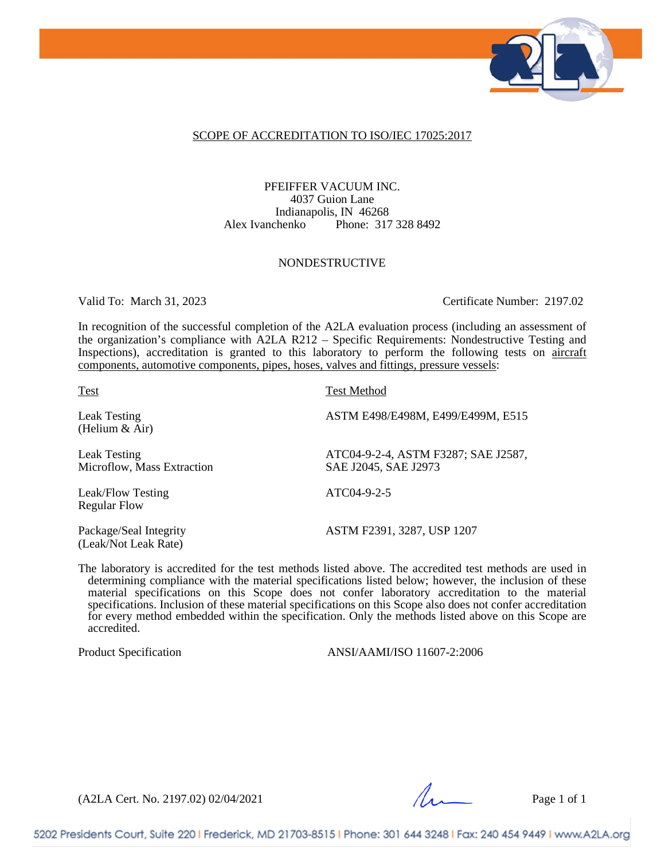

### SCOPE OF ACCREDITATION TO ISO/IEC 17025:2017

PFEIFFER VACUUM INC. 4037 Guion Lane Indianapolis, IN 46268 Alex Ivanchenko Phone: 317 328 8492

#### NONDESTRUCTIVE

Valid To: March 31, 2023 Certificate Number: 2197.02

In recognition of the successful completion of the A2LA evaluation process (including an assessment of the organization's compliance with A2LA R212 – Specific Requirements: Nondestructive Testing and Inspections), accreditation is granted to this laboratory to perform the following tests on aircraft components, automotive components, pipes, hoses, valves and fittings, pressure vessels:

(Helium & Air)

Microflow, Mass Extraction

Leak/Flow Testing ATC04-9-2-5 Regular Flow

(Leak/Not Leak Rate)

Test Test Method

Leak Testing ASTM E498/E498M, E499/E499M, E515

Leak Testing<br>
Microflow, Mass Extraction<br>
SAE J2045, SAE J2973

Package/Seal Integrity ASTM F2391, 3287, USP 1207

The laboratory is accredited for the test methods listed above. The accredited test methods are used in determining compliance with the material specifications listed below; however, the inclusion of these material specifications on this Scope does not confer laboratory accreditation to the material specifications. Inclusion of these material specifications on this Scope also does not confer accreditation for every method embedded within the specification. Only the methods listed above on this Scope are accredited.

Product Specification ANSI/AAMI/ISO 11607-2:2006

(A2LA Cert. No. 2197.02) 02/04/2021 Page 1 of 1

5202 Presidents Court, Suite 220 | Frederick, MD 21703-8515 | Phone: 301 644 3248 | Fax: 240 454 9449 | www.A2LA.org